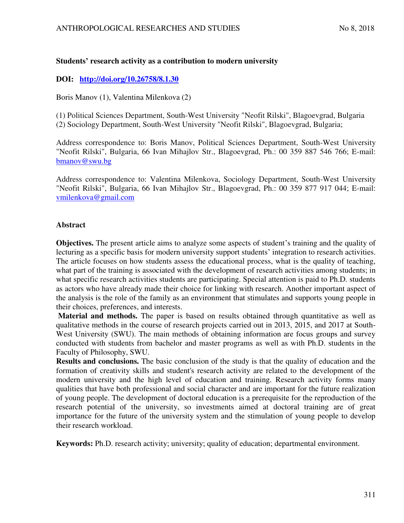# **Students' research activity as a contribution to modern university**

# **DOI: <http://doi.org/10.26758/8.1.30>**

Boris Manov (1), Valentina Milenkova (2)

(1) Political Sciences Department, South-West University "Neofit Rilski", Blagoevgrad, Bulgaria (2) Sociology Department, South-West University "Neofit Rilski", Blagoevgrad, Bulgaria;

Address correspondence to: Boris Manov, Political Sciences Department, South-West University "Neofit Rilski", Bulgaria, 66 Ivan Mihajlov Str., Blagoevgrad, Ph.: 00 359 887 546 766; E-mail: [bmanov@swu.bg](mailto:bmanov@swu.bg) 

Address correspondence to: Valentina Milenkova, Sociology Department, South-West University "Neofit Rilski", Bulgaria, 66 Ivan Mihajlov Str., Blagoevgrad, Ph.: 00 359 877 917 044; E-mail: [vmilenkova@gmail.com](mailto:vmilenkova@gmail.com)

## **Abstract**

**Objectives.** The present article aims to analyze some aspects of student's training and the quality of lecturing as a specific basis for modern university support students' integration to research activities. The article focuses on how students assess the educational process, what is the quality of teaching, what part of the training is associated with the development of research activities among students; in what specific research activities students are participating. Special attention is paid to Ph.D. students as actors who have already made their choice for linking with research. Another important aspect of the analysis is the role of the family as an environment that stimulates and supports young people in their choices, preferences, and interests.

**Material and methods.** The paper is based on results obtained through quantitative as well as qualitative methods in the course of research projects carried out in 2013, 2015, and 2017 at South-West University (SWU). The main methods of obtaining information are focus groups and survey conducted with students from bachelor and master programs as well as with Ph.D. students in the Faculty of Philosophy, SWU.

**Results and conclusions.** The basic conclusion of the study is that the quality of education and the formation of creativity skills and student's research activity are related to the development of the modern university and the high level of education and training. Research activity forms many qualities that have both professional and social character and are important for the future realization of young people. The development of doctoral education is a prerequisite for the reproduction of the research potential of the university, so investments aimed at doctoral training are of great importance for the future of the university system and the stimulation of young people to develop their research workload.

**Keywords:** Ph.D. research activity; university; quality of education; departmental environment.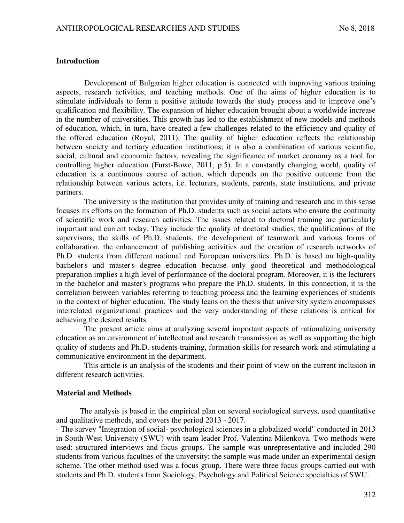### **Introduction**

Development of Bulgarian higher education is connected with improving various training aspects, research activities, and teaching methods. One of the aims of higher education is to stimulate individuals to form a positive attitude towards the study process and to improve one's qualification and flexibility. The expansion of higher education brought about a worldwide increase in the number of universities. This growth has led to the establishment of new models and methods of education, which, in turn, have created a few challenges related to the efficiency and quality of the offered education (Royal, 2011). The quality of higher education reflects the relationship between society and tertiary education institutions; it is also a combination of various scientific, social, cultural and economic factors, revealing the significance of market economy as a tool for controlling higher education (Furst-Bowe, 2011, p.5). In a constantly changing world, quality of education is a continuous course of action, which depends on the positive outcome from the relationship between various actors, i.e. lecturers, students, parents, state institutions, and private partners.

The university is the institution that provides unity of training and research and in this sense focuses its efforts on the formation of Ph.D. students such as social actors who ensure the continuity of scientific work and research activities. The issues related to doctoral training are particularly important and current today. They include the quality of doctoral studies, the qualifications of the supervisors, the skills of Ph.D. students, the development of teamwork and various forms of collaboration, the enhancement of publishing activities and the creation of research networks of Ph.D. students from different national and European universities. Ph.D. is based on high-quality bachelor's and master's degree education because only good theoretical and methodological preparation implies a high level of performance of the doctoral program. Moreover, it is the lecturers in the bachelor and master's programs who prepare the Ph.D. students. In this connection, it is the correlation between variables referring to teaching process and the learning experiences of students in the context of higher education. The study leans on the thesis that university system encompasses interrelated organizational practices and the very understanding of these relations is critical for achieving the desired results.

The present article aims at analyzing several important aspects of rationalizing university education as an environment of intellectual and research transmission as well as supporting the high quality of students and Ph.D. students training, formation skills for research work and stimulating a communicative environment in the department.

This article is an analysis of the students and their point of view on the current inclusion in different research activities.

### **Material and Methods**

The analysis is based in the empirical plan on several sociological surveys, used quantitative and qualitative methods, and covers the period 2013 - 2017.

- The survey "Integration of social- psychological sciences in a globalized world" conducted in 2013 in South-West University (SWU) with team leader Prof. Valentina Milenkova. Two methods were used: structured interviews and focus groups. The sample was unrepresentative and included 290 students from various faculties of the university; the sample was made under an experimental design scheme. The other method used was a focus group. There were three focus groups carried out with students and Ph.D. students from Sociology, Psychology and Political Science specialties of SWU.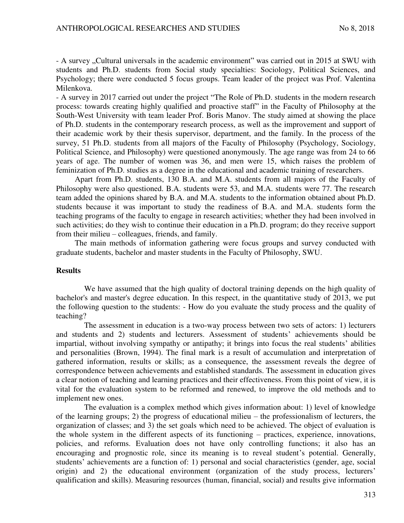- A survey "Cultural universals in the academic environment" was carried out in 2015 at SWU with students and Ph.D. students from Social study specialties: Sociology, Political Sciences, and Psychology; there were conducted 5 focus groups. Team leader of the project was Prof. Valentina Milenkova.

- A survey in 2017 carried out under the project "The Role of Ph.D. students in the modern research process: towards creating highly qualified and proactive staff" in the Faculty of Philosophy at the South-West University with team leader Prof. Boris Manov. The study aimed at showing the place of Ph.D. students in the contemporary research process, as well as the improvement and support of their academic work by their thesis supervisor, department, and the family. In the process of the survey, 51 Ph.D. students from all majors of the Faculty of Philosophy (Psychology, Sociology, Political Science, and Philosophy) were questioned anonymously. The age range was from 24 to 66 years of age. The number of women was 36, and men were 15, which raises the problem of feminization of Ph.D. studies as a degree in the educational and academic training of researchers.

Apart from Ph.D. students, 130 B.A. and M.A. students from all majors of the Faculty of Philosophy were also questioned. B.A. students were 53, and M.A. students were 77. The research team added the opinions shared by B.A. and M.A. students to the information obtained about Ph.D. students because it was important to study the readiness of B.A. and M.A. students form the teaching programs of the faculty to engage in research activities; whether they had been involved in such activities; do they wish to continue their education in a Ph.D. program; do they receive support from their milieu – colleagues, friends, and family.

The main methods of information gathering were focus groups and survey conducted with graduate students, bachelor and master students in the Faculty of Philosophy, SWU.

#### **Results**

We have assumed that the high quality of doctoral training depends on the high quality of bachelor's and master's degree education. In this respect, in the quantitative study of 2013, we put the following question to the students: - How do you evaluate the study process and the quality of teaching?

The assessment in education is a two-way process between two sets of actors: 1) lecturers and students and 2) students and lecturers. Assessment of students' achievements should be impartial, without involving sympathy or antipathy; it brings into focus the real students' abilities and personalities (Brown, 1994). The final mark is a result of accumulation and interpretation of gathered information, results or skills; as a consequence, the assessment reveals the degree of correspondence between achievements and established standards. The assessment in education gives a clear notion of teaching and learning practices and their effectiveness. From this point of view, it is vital for the evaluation system to be reformed and renewed, to improve the old methods and to implement new ones.

The evaluation is a complex method which gives information about: 1) level of knowledge of the learning groups; 2) the progress of educational milieu – the professionalism of lecturers, the organization of classes; and 3) the set goals which need to be achieved. The object of evaluation is the whole system in the different aspects of its functioning – practices, experience, innovations, policies, and reforms. Evaluation does not have only controlling functions; it also has an encouraging and prognostic role, since its meaning is to reveal student's potential. Generally, students' achievements are a function of: 1) personal and social characteristics (gender, age, social origin) and 2) the educational environment (organization of the study process, lecturers' qualification and skills). Measuring resources (human, financial, social) and results give information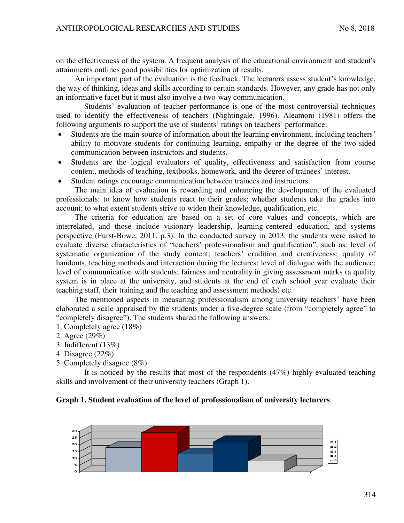on the effectiveness of the system. A frequent analysis of the educational environment and student's attainments outlines good possibilities for optimization of results.

An important part of the evaluation is the feedback. The lecturers assess student's knowledge, the way of thinking, ideas and skills according to certain standards. However, any grade has not only an informative facet but it must also involve a two-way communication.

Students' evaluation of teacher performance is one of the most controversial techniques used to identify the effectiveness of teachers (Nightingale, 1996). Aleamoni (1981) offers the following arguments to support the use of students' ratings on teachers' performance:

- Students are the main source of information about the learning environment, including teachers' ability to motivate students for continuing learning, empathy or the degree of the two-sided communication between instructors and students.
- Students are the logical evaluators of quality, effectiveness and satisfaction from course content, methods of teaching, textbooks, homework, and the degree of trainees' interest.
- Student ratings encourage communication between trainees and instructors.

The main idea of evaluation is rewarding and enhancing the development of the evaluated professionals: to know how students react to their grades; whether students take the grades into account; to what extent students strive to widen their knowledge, qualification, etc.

The criteria for education are based on a set of core values and concepts, which are interrelated, and those include visionary leadership, learning-centered education, and systems perspective (Furst-Bowe, 2011, p.3). In the conducted survey in 2013, the students were asked to evaluate diverse characteristics of "teachers' professionalism and qualification", such as: level of systematic organization of the study content; teachers' erudition and creativeness; quality of handouts, teaching methods and interaction during the lectures; level of dialogue with the audience; level of communication with students; fairness and neutrality in giving assessment marks (a quality system is in place at the university, and students at the end of each school year evaluate their teaching staff, their training and the teaching and assessment methods) etc.

The mentioned aspects in measuring professionalism among university teachers' have been elaborated a scale appraised by the students under a five-degree scale (from "completely agree" to "completely disagree"). The students shared the following answers:

- 1. Completely agree (18%)
- 2. Agree (29%)
- 3. Indifferent (13%)
- 4. Disagree (22%)
- 5. Completely disagree (8%)

It is noticed by the results that most of the respondents (47%) highly evaluated teaching skills and involvement of their university teachers (Graph 1).

## **Graph 1. Student evaluation of the level of professionalism of university lecturers**

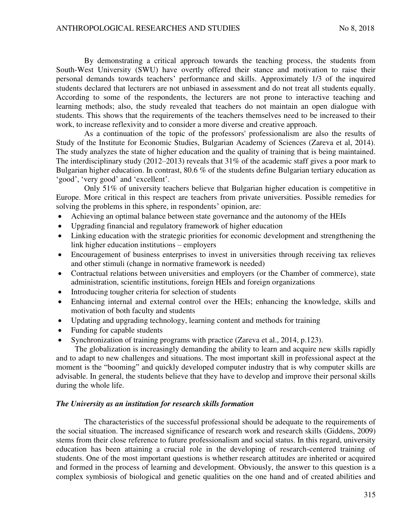By demonstrating a critical approach towards the teaching process, the students from South-West University (SWU) have overtly offered their stance and motivation to raise their personal demands towards teachers' performance and skills. Approximately 1/3 of the inquired students declared that lecturers are not unbiased in assessment and do not treat all students equally. According to some of the respondents, the lecturers are not prone to interactive teaching and learning methods; also, the study revealed that teachers do not maintain an open dialogue with students. This shows that the requirements of the teachers themselves need to be increased to their work, to increase reflexivity and to consider a more diverse and creative approach.

As a continuation of the topic of the professors' professionalism are also the results of Study of the Institute for Economic Studies, Bulgarian Academy of Sciences (Zareva et al, 2014). The study analyzes the state of higher education and the quality of training that is being maintained. The interdisciplinary study (2012–2013) reveals that 31% of the academic staff gives a poor mark to Bulgarian higher education. In contrast, 80.6 % of the students define Bulgarian tertiary education as 'good', 'very good' and 'excellent'.

Only 51% of university teachers believe that Bulgarian higher education is competitive in Europe. More critical in this respect are teachers from private universities. Possible remedies for solving the problems in this sphere, in respondents' opinion, are:

- Achieving an optimal balance between state governance and the autonomy of the HEIs
- Upgrading financial and regulatory framework of higher education
- Linking education with the strategic priorities for economic development and strengthening the link higher education institutions – employers
- Encouragement of business enterprises to invest in universities through receiving tax relieves and other stimuli (change in normative framework is needed)
- Contractual relations between universities and employers (or the Chamber of commerce), state administration, scientific institutions, foreign HEIs and foreign organizations
- Introducing tougher criteria for selection of students
- Enhancing internal and external control over the HEIs; enhancing the knowledge, skills and motivation of both faculty and students
- Updating and upgrading technology, learning content and methods for training
- Funding for capable students
- Synchronization of training programs with practice (Zareva et al., 2014, p.123).

The globalization is increasingly demanding the ability to learn and acquire new skills rapidly and to adapt to new challenges and situations. The most important skill in professional aspect at the moment is the "booming" and quickly developed computer industry that is why computer skills are advisable. In general, the students believe that they have to develop and improve their personal skills during the whole life.

#### *The University as an institution for research skills formation*

The characteristics of the successful professional should be adequate to the requirements of the social situation. The increased significance of research work and research skills (Giddens, 2009) stems from their close reference to future professionalism and social status. In this regard, university education has been attaining a crucial role in the developing of research-centered training of students. One of the most important questions is whether research attitudes are inherited or acquired and formed in the process of learning and development. Obviously, the answer to this question is a complex symbiosis of biological and genetic qualities on the one hand and of created abilities and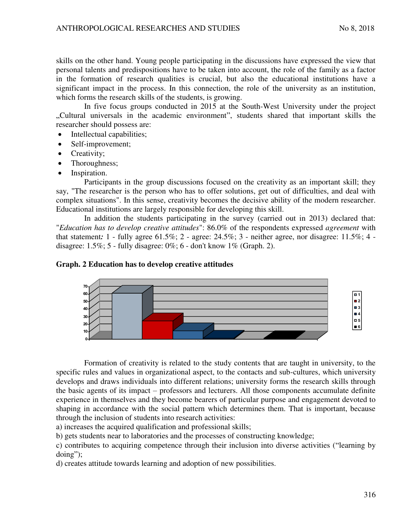skills on the other hand. Young people participating in the discussions have expressed the view that personal talents and predispositions have to be taken into account, the role of the family as a factor in the formation of research qualities is crucial, but also the educational institutions have a significant impact in the process. In this connection, the role of the university as an institution, which forms the research skills of the students, is growing.

In five focus groups conducted in 2015 at the South-West University under the project "Cultural universals in the academic environment", students shared that important skills the researcher should possess are:

- Intellectual capabilities;
- Self-improvement;
- Creativity;
- Thoroughness;
- Inspiration.

Participants in the group discussions focused on the creativity as an important skill; they say, "The researcher is the person who has to offer solutions, get out of difficulties, and deal with complex situations". In this sense, creativity becomes the decisive ability of the modern researcher. Educational institutions are largely responsible for developing this skill.

In addition the students participating in the survey (carried out in 2013) declared that: "*Education has to develop creative attitudes*": 86.0% of the respondents expressed *agreement* with that statement*:* 1 - fully agree 61.5%; 2 - agree: 24.5%; 3 - neither agree, nor disagree: 11.5%; 4 disagree:  $1.5\%$ ;  $5$  - fully disagree:  $0\%$ ;  $6$  - don't know  $1\%$  (Graph. 2).

## **Graph. 2 Education has to develop creative attitudes**



Formation of creativity is related to the study contents that are taught in university, to the specific rules and values in organizational aspect, to the contacts and sub-cultures, which university develops and draws individuals into different relations; university forms the research skills through the basic agents of its impact – professors and lecturers. All those components accumulate definite experience in themselves and they become bearers of particular purpose and engagement devoted to shaping in accordance with the social pattern which determines them. That is important, because through the inclusion of students into research activities:

a) increases the acquired qualification and professional skills;

b) gets students near to laboratories and the processes of constructing knowledge;

c) contributes to acquiring competence through their inclusion into diverse activities ("learning by doing");

d) creates attitude towards learning and adoption of new possibilities.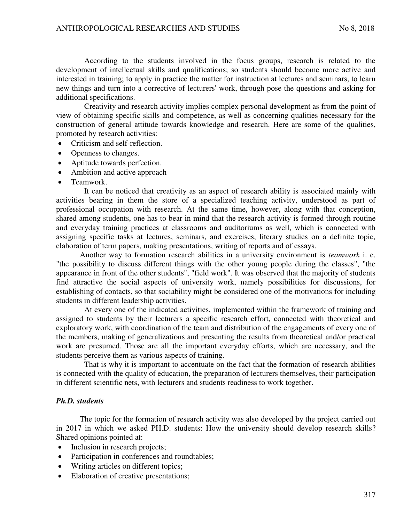According to the students involved in the focus groups, research is related to the development of intellectual skills and qualifications; so students should become more active and interested in training; tо apply in practice the matter for instruction at lectures and seminars, tо learn new things and turn into a corrective of lecturers' work, through pose the questions and asking for additional specifications.

Creativity and research activity implies complex personal development as from the point of view of obtaining specific skills and competence, as well as concerning qualities necessary for the construction of general attitude towards knowledge and research. Here are some of the qualities, promoted by research activities:

- Criticism and self-reflection.
- Openness to changes.
- Aptitude towards perfection.
- Ambition and active approach
- Teamwork.

It can be noticed that creativity as an aspect of research ability is associated mainly with activities bearing in them the store of a specialized teaching activity, understood as part of professional occupation with research. At the same time, however, along with that conception, shared among students, one has to bear in mind that the research activity is formed through routine and everyday training practices at classrooms and auditoriums as well, which is connected with assigning specific tasks at lectures, seminars, and exercises, literary studies on a definite topic, elaboration of term papers, making presentations, writing of reports and of essays.

Another way to formation research abilities in a university environment is *teamwork* i. e. "the possibility to discuss different things with the other young people during the classes", "the appearance in front of the other students", "field work". It was observed that the majority of students find attractive the social aspects of university work, namely possibilities for discussions, for establishing of contacts, so that sociability might be considered one of the motivations for including students in different leadership activities.

At every one of the indicated activities, implemented within the framework of training and assigned to students by their lecturers a specific research effort, connected with theoretical and exploratory work, with coordination of the team and distribution of the engagements of every one of the members, making of generalizations and presenting the results from theoretical and/or practical work are presumed. Those are all the important everyday efforts, which are necessary, and the students perceive them as various aspects of training.

That is why it is important to accentuate on the fact that the formation of research abilities is connected with the quality of education, the preparation of lecturers themselves, their participation in different scientific nets, with lecturers and students readiness to work together.

#### *Ph.D. students*

The topic for the formation of research activity was also developed by the project carried out in 2017 in which we asked PH.D. students: How the university should develop research skills? Shared opinions pointed at:

- Inclusion in research projects;
- Participation in conferences and roundtables;
- Writing articles on different topics;
- Elaboration of creative presentations;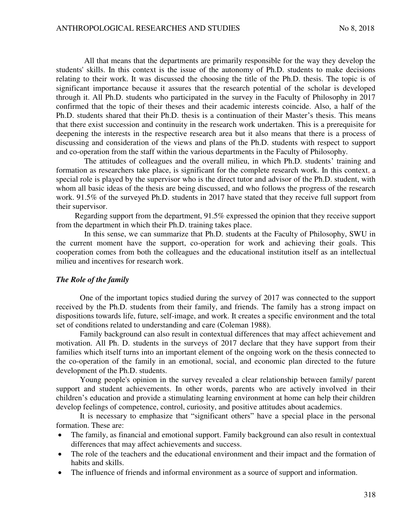All that means that the departments are primarily responsible for the way they develop the students' skills. In this context is the issue of the autonomy of Ph.D. students to make decisions relating to their work. It was discussed the choosing the title of the Ph.D. thesis. The topic is of significant importance because it assures that the research potential of the scholar is developed through it. All Ph.D. students who participated in the survey in the Faculty of Philosophy in 2017 confirmed that the topic of their theses and their academic interests coincide. Also, a half of the Ph.D. students shared that their Ph.D. thesis is a continuation of their Master's thesis. This means that there exist succession and continuity in the research work undertaken. This is a prerequisite for deepening the interests in the respective research area but it also means that there is a process of discussing and consideration of the views and plans of the Ph.D. students with respect to support and co-operation from the staff within the various departments in the Faculty of Philosophy.

The attitudes of colleagues and the overall milieu, in which Ph.D. students' training and formation as researchers take place, is significant for the complete research work. In this context, a special role is played by the supervisor who is the direct tutor and advisor of the Ph.D. student, with whom all basic ideas of the thesis are being discussed, and who follows the progress of the research work. 91.5% of the surveyed Ph.D. students in 2017 have stated that they receive full support from their supervisor.

Regarding support from the department, 91.5% expressed the opinion that they receive support from the department in which their Ph.D. training takes place.

In this sense, we can summarize that Ph.D. students at the Faculty of Philosophy, SWU in the current moment have the support, co-operation for work and achieving their goals. This cooperation comes from both the colleagues and the educational institution itself as an intellectual milieu and incentives for research work.

#### *The Role of the family*

One of the important topics studied during the survey of 2017 was connected to the support received by the Ph.D. students from their family, and friends. The family has a strong impact on dispositions towards life, future, self-image, and work. It creates a specific environment and the total set of conditions related to understanding and care (Coleman 1988).

Family background can also result in contextual differences that may affect achievement and motivation. All Ph. D. students in the surveys of 2017 declare that they have support from their families which itself turns into an important element of the ongoing work on the thesis connected to the co-operation of the family in an emotional, social, and economic plan directed to the future development of the Ph.D. students.

Young people's opinion in the survey revealed a clear relationship between family/ parent support and student achievements. In other words, parents who are actively involved in their children's education and provide a stimulating learning environment at home can help their children develop feelings of competence, control, curiosity, and positive attitudes about academics.

It is necessary to emphasize that "significant others" have a special place in the personal formation. These are:

- The family, as financial and emotional support. Family background can also result in contextual differences that may affect achievements and success.
- The role of the teachers and the educational environment and their impact and the formation of habits and skills.
- The influence of friends and informal environment as a source of support and information.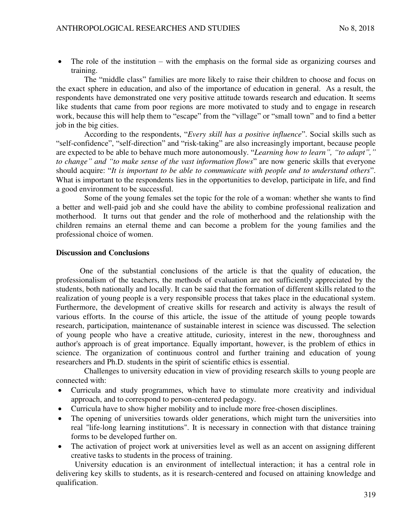The role of the institution – with the emphasis on the formal side as organizing courses and training.

The "middle class" families are more likely to raise their children to choose and focus on the exact sphere in education, and also of the importance of education in general. As a result, the respondents have demonstrated one very positive attitude towards research and education. It seems like students that came from poor regions are more motivated to study and to engage in research work, because this will help them to "escape" from the "village" or "small town" and to find a better job in the big cities.

According to the respondents, "*Every skill has a positive influence*". Social skills such as "self-confidence", "self-direction" and "risk-taking" are also increasingly important, because people are expected to be able to behave much more autonomously. "*Learning how to learn", "to adapt"," to change" and "to make sense of the vast information flows*" are now generic skills that everyone should acquire: "*It is important to be able to communicate with people and to understand others*". What is important to the respondents lies in the opportunities to develop, participate in life, and find a good environment to be successful.

Some of the young females set the topic for the role of a woman: whether she wants to find a better and well-paid job and she could have the ability to combine professional realization and motherhood. It turns out that gender and the role of motherhood and the relationship with the children remains an eternal theme and can become a problem for the young families and the professional choice of women.

### **Discussion and Conclusions**

One of the substantial conclusions of the article is that the quality of education, the professionalism of the teachers, the methods of evaluation are not sufficiently appreciated by the students, both nationally and locally. It can be said that the formation of different skills related to the realization of young people is a very responsible process that takes place in the educational system. Furthermore, the development of creative skills for research and activity is always the result of various efforts. In the course of this article, the issue of the attitude of young people towards research, participation, maintenance of sustainable interest in science was discussed. The selection of young people who have a creative attitude, curiosity, interest in the new, thoroughness and author's approach is of great importance. Equally important, however, is the problem of ethics in science. The organization of continuous control and further training and education of young researchers and Ph.D. students in the spirit of scientific ethics is essential.

Challenges to university education in view of providing research skills to young people are connected with:

- Curricula and study programmes, which have to stimulate more creativity and individual approach, and to correspond to person-centered pedagogy.
- Curricula have to show higher mobility and to include more free-chosen disciplines.
- The opening of universities towards older generations, which might turn the universities into real "life-long learning institutions". It is necessary in connection with that distance training forms to be developed further on.
- The activation of project work at universities level as well as an accent on assigning different creative tasks to students in the process of training.

University education is an environment of intellectual interaction; it has a central role in delivering key skills to students, as it is research-centered and focused on attaining knowledge and qualification.